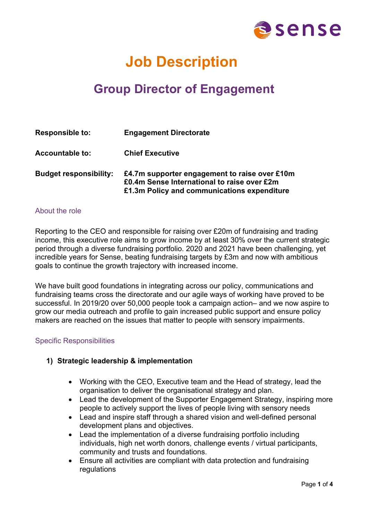

# **Job Description**

## **Group Director of Engagement**

| <b>Responsible to:</b>        | <b>Engagement Directorate</b>                                                                                                               |
|-------------------------------|---------------------------------------------------------------------------------------------------------------------------------------------|
| <b>Accountable to:</b>        | <b>Chief Executive</b>                                                                                                                      |
| <b>Budget responsibility:</b> | £4.7m supporter engagement to raise over £10m<br>£0.4m Sense International to raise over £2m<br>£1.3m Policy and communications expenditure |

#### About the role

Reporting to the CEO and responsible for raising over £20m of fundraising and trading income, this executive role aims to grow income by at least 30% over the current strategic period through a diverse fundraising portfolio. 2020 and 2021 have been challenging, yet incredible years for Sense, beating fundraising targets by £3m and now with ambitious goals to continue the growth trajectory with increased income.

We have built good foundations in integrating across our policy, communications and fundraising teams cross the directorate and our agile ways of working have proved to be successful. In 2019/20 over 50,000 people took a campaign action– and we now aspire to grow our media outreach and profile to gain increased public support and ensure policy makers are reached on the issues that matter to people with sensory impairments.

#### Specific Responsibilities

#### **1) Strategic leadership & implementation**

- Working with the CEO, Executive team and the Head of strategy, lead the organisation to deliver the organisational strategy and plan.
- Lead the development of the Supporter Engagement Strategy, inspiring more people to actively support the lives of people living with sensory needs
- Lead and inspire staff through a shared vision and well-defined personal development plans and objectives.
- Lead the implementation of a diverse fundraising portfolio including individuals, high net worth donors, challenge events / virtual participants, community and trusts and foundations.
- Ensure all activities are compliant with data protection and fundraising regulations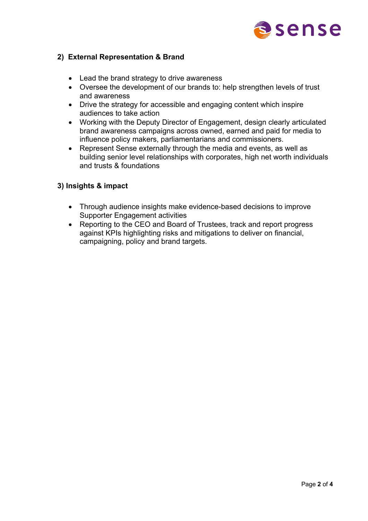

### **2) External Representation & Brand**

- Lead the brand strategy to drive awareness
- Oversee the development of our brands to: help strengthen levels of trust and awareness
- Drive the strategy for accessible and engaging content which inspire audiences to take action
- Working with the Deputy Director of Engagement, design clearly articulated brand awareness campaigns across owned, earned and paid for media to influence policy makers, parliamentarians and commissioners.
- Represent Sense externally through the media and events, as well as building senior level relationships with corporates, high net worth individuals and trusts & foundations

### **3) Insights & impact**

- Through audience insights make evidence-based decisions to improve Supporter Engagement activities
- Reporting to the CEO and Board of Trustees, track and report progress against KPIs highlighting risks and mitigations to deliver on financial, campaigning, policy and brand targets.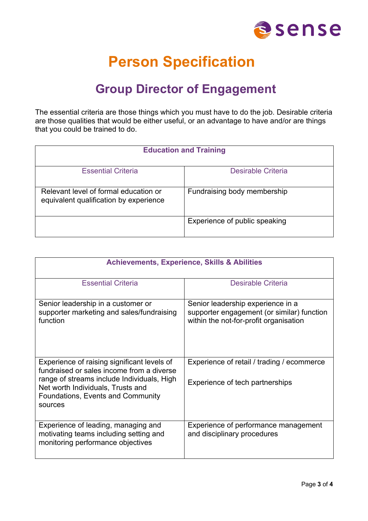

# **Person Specification**

## **Group Director of Engagement**

The essential criteria are those things which you must have to do the job. Desirable criteria are those qualities that would be either useful, or an advantage to have and/or are things that you could be trained to do.

| <b>Education and Training</b>                                                   |                               |  |
|---------------------------------------------------------------------------------|-------------------------------|--|
| <b>Essential Criteria</b>                                                       | Desirable Criteria            |  |
| Relevant level of formal education or<br>equivalent qualification by experience | Fundraising body membership   |  |
|                                                                                 | Experience of public speaking |  |

| <b>Achievements, Experience, Skills &amp; Abilities</b>                                                                                                                                                                     |                                                                                                                           |  |
|-----------------------------------------------------------------------------------------------------------------------------------------------------------------------------------------------------------------------------|---------------------------------------------------------------------------------------------------------------------------|--|
| <b>Essential Criteria</b>                                                                                                                                                                                                   | <b>Desirable Criteria</b>                                                                                                 |  |
| Senior leadership in a customer or<br>supporter marketing and sales/fundraising<br>function                                                                                                                                 | Senior leadership experience in a<br>supporter engagement (or similar) function<br>within the not-for-profit organisation |  |
| Experience of raising significant levels of<br>fundraised or sales income from a diverse<br>range of streams include Individuals, High<br>Net worth Individuals, Trusts and<br>Foundations, Events and Community<br>sources | Experience of retail / trading / ecommerce<br>Experience of tech partnerships                                             |  |
| Experience of leading, managing and<br>motivating teams including setting and<br>monitoring performance objectives                                                                                                          | Experience of performance management<br>and disciplinary procedures                                                       |  |